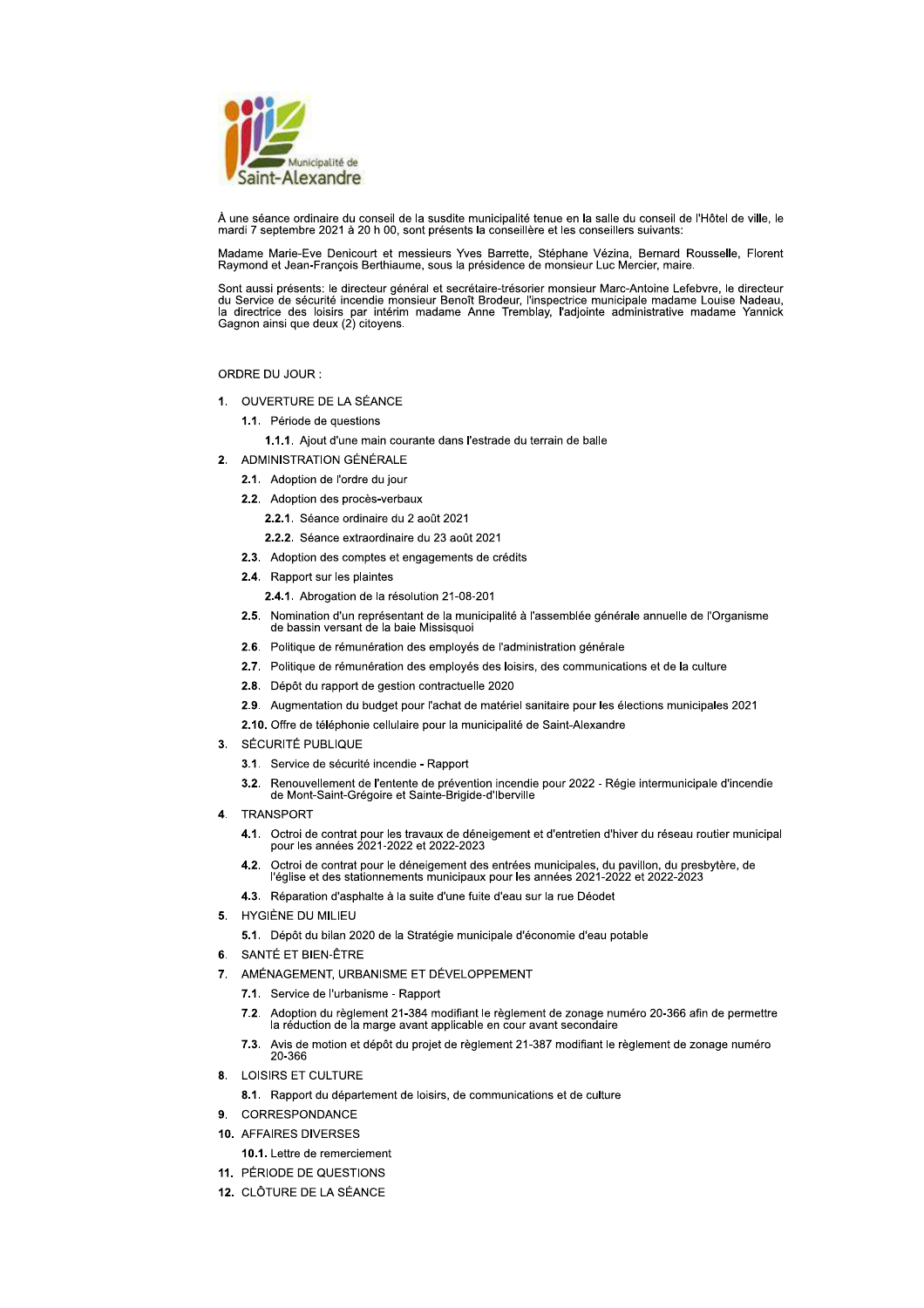

À une séance ordinaire du conseil de la susdite municipalité tenue en la salle du conseil de l'Hôtel de ville, le mardi 7 septembre 2021 à 20 h 00, sont présents la conseillère et les conseillers suivants.

Madame Marie-Eve Denicourt et messieurs Yves Barrette, Stéphane Vézina, Bernard Rousselle, Florent Raymond et Jean-François Berthiaume, sous la présidence de monsieur Luc Mercier, maire.

Sont aussi présents: le directeur général et secrétaire-trésorier monsieur Marc-Antoine Lefebvre, le directeur du Service de sécurité incendie monsieur Benoît Brodeur, l'inspectrice municipale madame Louise Nadeau, la directrice des loisirs par intérim madame Anne Tremblay, l'adjointe administrative madame Yannick Gagnon ainsi que deux (2) citoyens.

ORDRE DU JOUR :

- 1. OUVERTURE DE LA SÉANCE
	- 1.1. Période de questions
		- 1.1.1. Ajout d'une main courante dans l'estrade du terrain de balle
- 2 ADMINISTRATION GÉNÉRALE
	- 2.1. Adoption de l'ordre du jour
	- 2.2. Adoption des procès-verbaux
		- 2.2.1. Séance ordinaire du 2 août 2021
		- 2.2.2. Séance extraordinaire du 23 août 2021
	- 2.3. Adoption des comptes et engagements de crédits
	- 2.4. Rapport sur les plaintes
		- 2.4.1. Abrogation de la résolution 21-08-201
	- 2.5. Nomination d'un représentant de la municipalité à l'assemblée générale annuelle de l'Organisme de bassin versant de la baie Missisquoi
	- 2.6. Politique de rémunération des employés de l'administration générale
	- 2.7. Politique de rémunération des employés des loisirs, des communications et de la culture
	- 2.8. Dépôt du rapport de gestion contractuelle 2020
	- 2.9. Augmentation du budget pour l'achat de matériel sanitaire pour les élections municipales 2021
	- 2.10. Offre de téléphonie cellulaire pour la municipalité de Saint-Alexandre
- 3. SÉCURITÉ PUBLIQUE
	- 3.1. Service de sécurité incendie Rapport
	- Renouvellement de l'entente de prévention incendie pour 2022 Régie intermunicipale d'incendie<br>de Mont-Saint-Grégoire et Sainte-Brigide-d'Iberville  $3.2.$
- TRANSPORT  $\mathbf{A}$ 
	- 4.1. Octroi de contrat pour les travaux de déneigement et d'entretien d'hiver du réseau routier municipal pour les années 2021-2022 et 2022-2023
	- 4.2. Octroi de contrat pour le déneigement des entrées municipales, du pavillon, du presbytère, de l'église et des stationnements municipaux pour les années 2021-2022 et 2022-2023
	- 4.3. Réparation d'asphalte à la suite d'une fuite d'eau sur la rue Déodet
- 5. HYGIÈNE DU MILIEU
	- 5.1. Dépôt du bilan 2020 de la Stratégie municipale d'économie d'eau potable
- 6. SANTÉ ET BIEN-ÊTRE
- 7. AMÉNAGEMENT, URBANISME ET DÉVELOPPEMENT
	- 7.1. Service de l'urbanisme Rapport
	- Adoption du règlement 21-384 modifiant le règlement de zonage numéro 20-366 afin de permettre  $7.2.$ la réduction de la marge avant applicable en cour avant secondaire
	- Avis de motion et dépôt du projet de règlement 21-387 modifiant le règlement de zonage numéro<br>20-366 7.3.
- 8. LOISIRS ET CULTURE
	- 8.1. Rapport du département de loisirs, de communications et de culture
- CORRESPONDANCE  $\mathbf{Q}$
- 10. AFFAIRES DIVERSES
	- 10.1. Lettre de remerciement
- 11. PÉRIODE DE QUESTIONS
- 12. CLÔTURE DE LA SÉANCE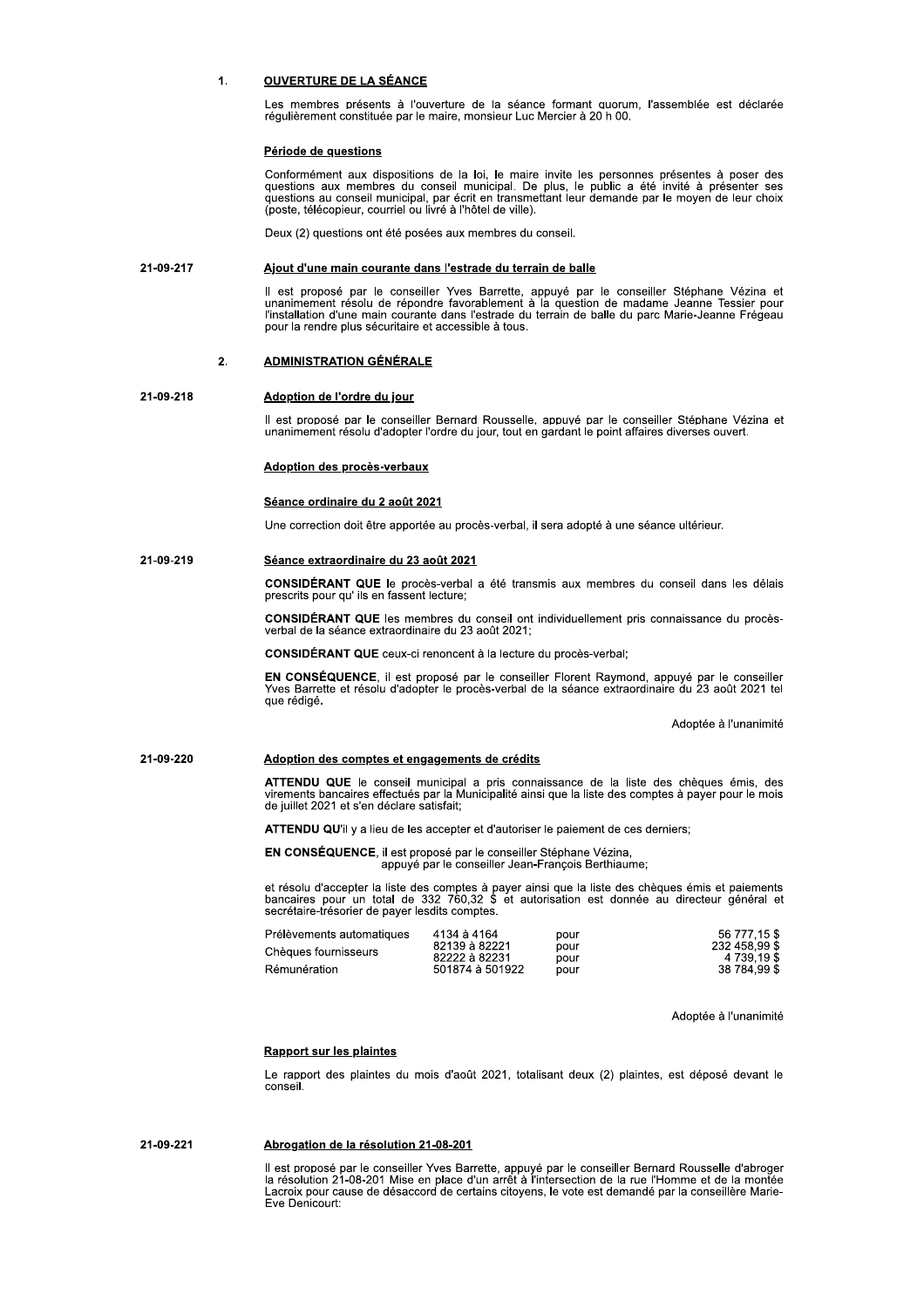#### $\mathbf{1}$ **OUVERTURE DE LA SÉANCE**

Les membres présents à l'ouverture de la séance formant quorum, l'assemblée est déclarée régulièrement constituée par le maire, monsieur Luc Mercier à 20 h 00.

# Période de questions

Conformément aux dispositions de la loi, le maire invite les personnes présentes à poser des Superioris aux membres du conseil municipal. De plus, le public a été invité à présenter ses<br>questions au conseil municipal, par écrit en transmettant leur demande par le moyen de leur choix<br>(poste, télécopieur, courriel o

Deux (2) questions ont été posées aux membres du conseil.

### 21-09-217 Ajout d'une main courante dans l'estrade du terrain de balle

Il est proposé par le conseiller Yves Barrette, appuyé par le conseiller Stéphane Vézina et unanimement résolu de répondre favorablement à la question de madame Jeanne Tessier pour l'installation d'une main courante dans l pour la rendre plus sécuritaire et accessible à tous.

### $2.$ **ADMINISTRATION GÉNÉRALE**

# 21-09-218

Il est proposé par le conseiller Bernard Rousselle, appuyé par le conseiller Stéphane Vézina et unanimement résolu d'adopter l'ordre du jour, tout en gardant le point affaires diverses ouvert.

# Adoption des procès-verbaux

Adoption de l'ordre du jour

# Séance ordinaire du 2 août 2021

Une correction doit être apportée au procès-verbal, il sera adopté à une séance ultérieur.

### 21-09-219 Séance extraordinaire du 23 août 2021

CONSIDÉRANT QUE le procès-verbal a été transmis aux membres du conseil dans les délais prescrits pour qu'ils en fassent lecture;

CONSIDÉRANT QUE les membres du conseil ont individuellement pris connaissance du procèsverbal de la séance extraordinaire du 23 août 2021;

CONSIDÉRANT QUE ceux-ci renoncent à la lecture du procès-verbal;

EN CONSÉQUENCE, il est proposé par le conseiller Florent Raymond, appuyé par le conseiller<br>Yves Barrette et résolu d'adopter le procès-verbal de la séance extraordinaire du 23 août 2021 tel que rédigé.

Adoptée à l'unanimité

### 21-09-220 Adoption des comptes et engagements de crédits

ATTENDU QUE le conseil municipal a pris connaissance de la liste des chèques émis, des<br>virements bancaires effectués par la Municipalité ainsi que la liste des comptes à payer pour le mois de juillet 2021 et s'en déclare satisfait;

**ATTENDU QU'il y a lieu de les accepter et d'autoriser le paiement de ces derniers;** 

EN CONSÉQUENCE, il est proposé par le conseiller Stéphane Vézina,<br>appuyé par le conseiller Jean-François Berthiaume;

et résolu d'accepter la liste des comptes à payer ainsi que la liste des chèques émis et paiements bancaires pour un total de 332 760,32 \$ et autorisation est donnée au directeur général et  $\frac{60}{20}$  secrétaire-trésorier de payer lesdits comptes.

| Prélèvements automatiques | 4134 à 4164                    | pour         | 56 777.15 \$                 |
|---------------------------|--------------------------------|--------------|------------------------------|
| Chèaues fournisseurs      | 82139 à 82221<br>82222 à 82231 | pour<br>pour | 232 458.99 \$<br>4 739.19 \$ |
| Rémunération              | 501874 à 501922                | pour         | 38 784,99 \$                 |

Adoptée à l'unanimité

# **Rapport sur les plaintes**

Le rapport des plaintes du mois d'août 2021, totalisant deux (2) plaintes, est déposé devant le conseil.

21-09-221 Abrogation de la résolution 21-08-201

> Il est proposé par le conseiller Yves Barrette, appuyé par le conseiller Bernard Rousselle d'abroger la résolution 21-08-201 Mise en place d'un arrêt à l'intersection de la rue l'Homme et de la montée<br>Lacroix pour cause de désaccord de certains citoyens, le vote est demandé par la conseillère Marie-Eve Denicourt: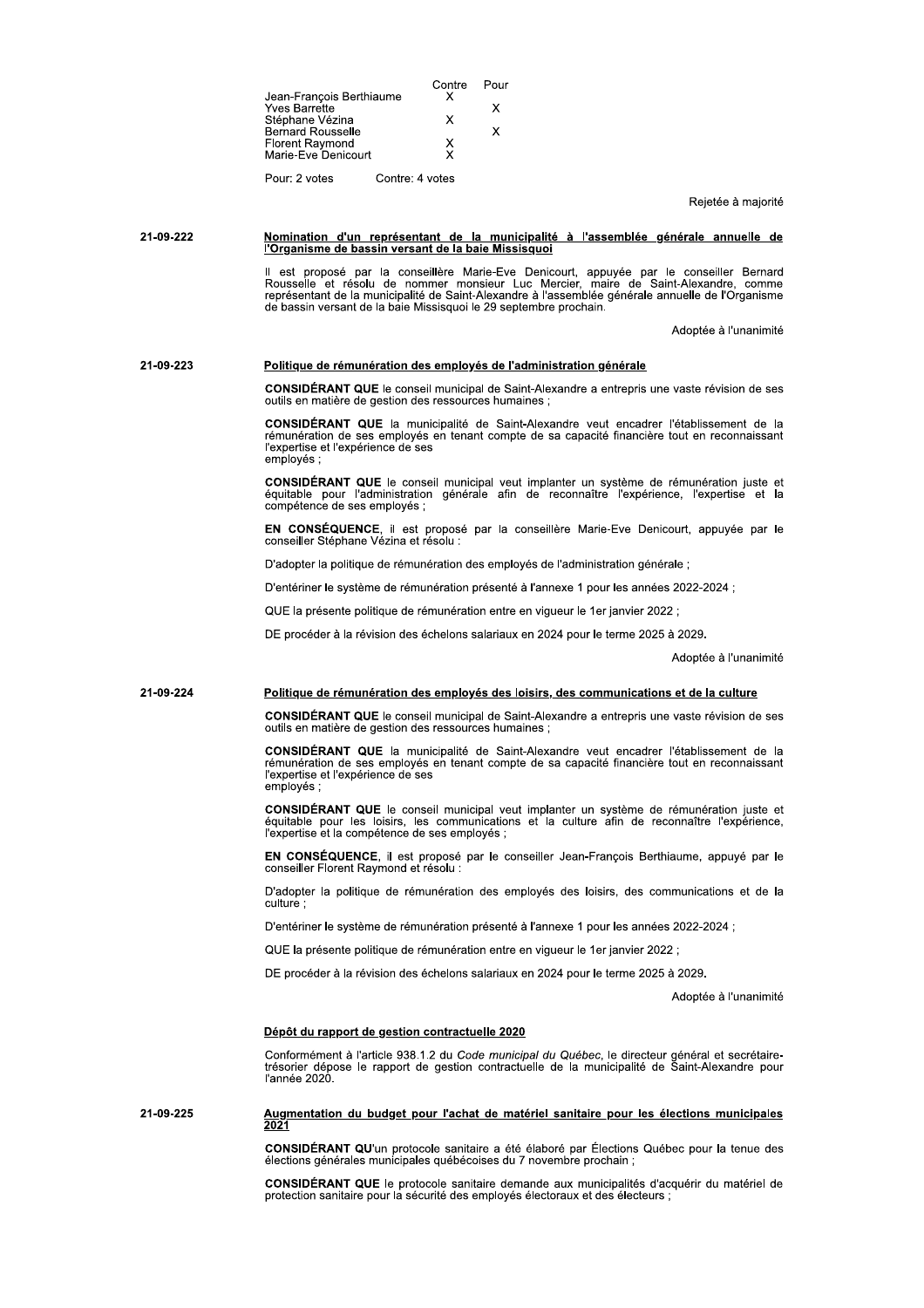|                                             | Contre          | Pour |
|---------------------------------------------|-----------------|------|
| Jean-François Berthiaume                    | x               |      |
| <b>Yves Barrette</b>                        | x               | x    |
| Stéphane Vézina<br><b>Bernard Rousselle</b> |                 | Y    |
| Florent Raymond                             | х               |      |
| Marie-Eve Denicourt                         | x               |      |
| Pour: 2 votes                               | Contre: 4 votes |      |

Reietée à maiorité

# Nomination d'un représentant de la municipalité à l'assemblée générale annuelle de<br>l'Organisme de bassin versant de la baie Missisquoi 21-09-222

Il est proposé par la conseillère Marie-Eve Denicourt, appuyée par le conseiller Bernard<br>Rousselle et résolu de nommer monsieur Luc Mercier, maire de Saint-Alexandre, comme<br>représentant de la municipalité de Saint-Alexandr

Adoptée à l'unanimité

### 21-09-223 Politique de rémunération des employés de l'administration générale

**CONSIDÉRANT QUE** le conseil municipal de Saint-Alexandre a entrepris une vaste révision de ses outils en matière de gestion des ressources humaines ;

CONSIDÉRANT QUE la municipalité de Saint-Alexandre veut encadrer l'établissement de la rémunération de ses employés en tenant compte de sa capacité financière tout en reconnaissant l'expertise et l'expérience de ses emplovés :

CONSIDÉRANT QUE le conseil municipal veut implanter un système de rémunération juste et<br>équitable pour l'administration générale afin de reconnaître l'expérience, l'expertise et la compétence de ses employés ;

EN CONSÉQUENCE, il est proposé par la conseillère Marie-Eve Denicourt, appuyée par le conseiller Stéphane Vézina et résolu :

D'adopter la politique de rémunération des employés de l'administration générale ;

D'entériner le système de rémunération présenté à l'annexe 1 pour les années 2022-2024 ;

QUE la présente politique de rémunération entre en vigueur le 1er janvier 2022 ;

DE procéder à la révision des échelons salariaux en 2024 pour le terme 2025 à 2029.

Adoptée à l'unanimité

#### 21-09-224 Politique de rémunération des employés des loisirs, des communications et de la culture

CONSIDÉRANT QUE le conseil municipal de Saint-Alexandre a entrepris une vaste révision de ses outils en matière de gestion des ressources humaines :

CONSIDÉRANT QUE la municipalité de Saint-Alexandre veut encadrer l'établissement de la<br>rémunération de ses employés en tenant compte de sa capacité financière tout en reconnaissant l'expertise et l'expérience de ses emplovés :

CONSIDÉRANT QUE le conseil municipal veut implanter un système de rémunération juste et équitable pour les loisirs, les communications et la culture afin de reconnaître l'expérience, l'expertise et la compétence de ses emp

EN CONSÉQUENCE, il est proposé par le conseiller Jean-François Berthiaume, appuyé par le conseiller Florent Raymond et résolu :

D'adopter la politique de rémunération des employés des loisirs, des communications et de la culture

D'entériner le système de rémunération présenté à l'annexe 1 pour les années 2022-2024 ;

QUE la présente politique de rémunération entre en vigueur le 1er janvier 2022 ;

DE procéder à la révision des échelons salariaux en 2024 pour le terme 2025 à 2029.

Adoptée à l'unanimité

# Dépôt du rapport de gestion contractuelle 2020

Conformément à l'article 938.1.2 du Code municipal du Québec, le directeur général et secrétaire-<br>trésorier dépose le rapport de gestion contractuelle de la municipalité de Saint-Alexandre pour<br>l'année 2020.

# Augmentation du budget pour l'achat de matériel sanitaire pour les élections municipales 21-09-225

CONSIDÉRANT QU'un protocole sanitaire a été élaboré par Élections Québec pour la tenue des<br>élections générales municipales québécoises du 7 novembre prochain ;

CONSIDÉRANT QUE le protocole sanitaire demande aux municipalités d'acquérir du matériel de protection sanitaire pour la sécurité des employés électoriaux et des électeurs ;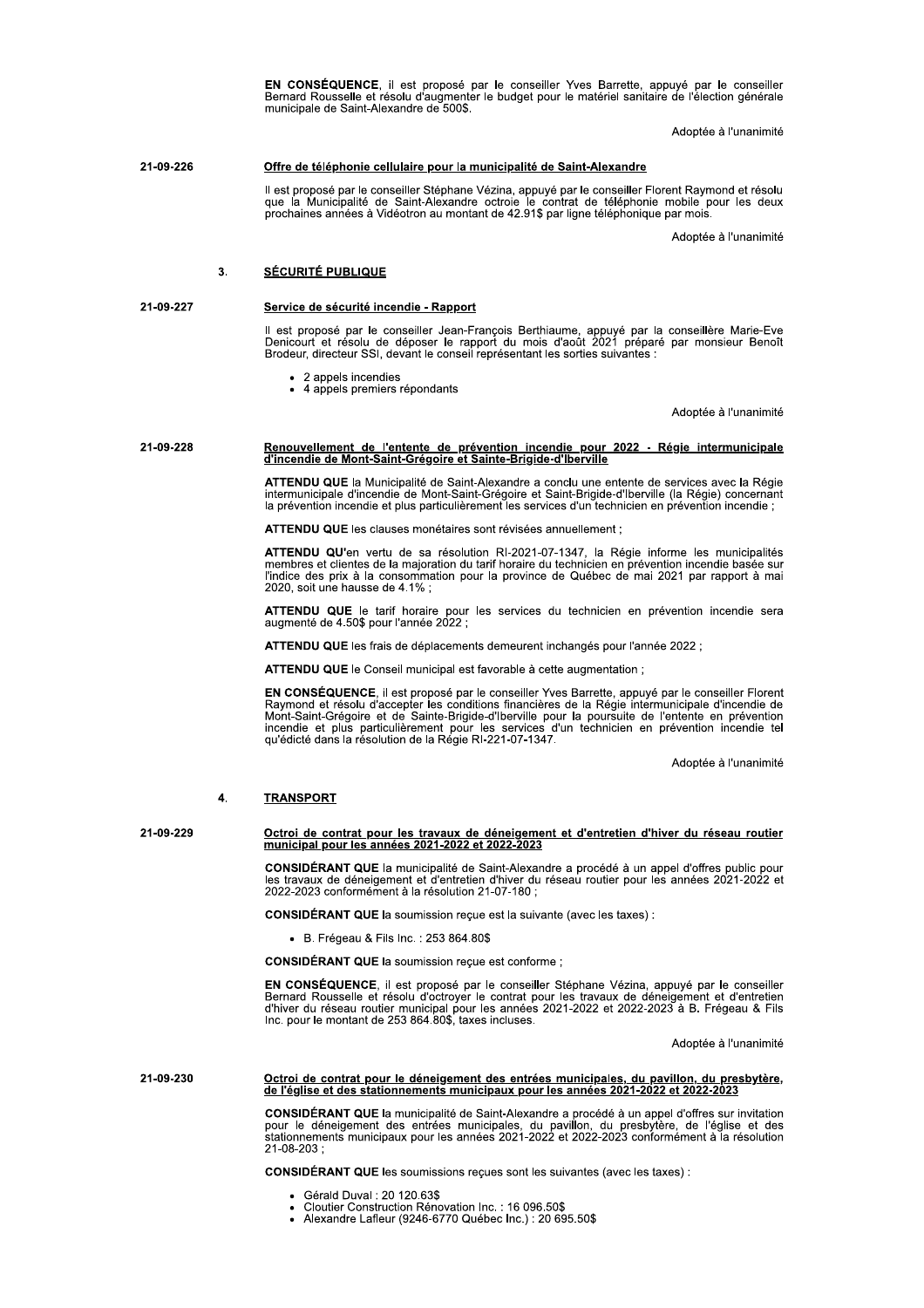EN CONSÉQUENCE, il est proposé par le conseiller Yves Barrette, appuyé par le conseiller<br>Bernard Rousselle et résolu d'augmenter le budget pour le matériel sanitaire de l'élection générale municipale de Saint-Alexandre de 500\$.

Adoptée à l'unanimité

#### 21-09-226 Offre de téléphonie cellulaire pour la municipalité de Saint-Alexandre

Il est proposé par le conseiller Stéphane Vézina, appuyé par le conseiller Florent Raymond et résolu<br>que la Municipalité de Saint-Alexandre octroie le contrat de téléphonie mobile pour les deux<br>prochaines années à Vidéotro

Adoptée à l'unanimité

### $3<sub>1</sub>$ **SÉCURITÉ PUBLIQUE**

21-09-227

# Service de sécurité incendie - Rapport

Il est proposé par le conseiller Jean-François Berthiaume, appuyé par la conseillère Marie-Eve<br>Denicourt et résolu de déposer le rapport du mois d'août 2021 préparé par monsieur Benoît<br>Brodeur, directeur SSI, devant le con

- 2 appels incendies
- $\bullet$  4 appels premiers répondants

Adoptée à l'unanimité

# 21-09-228 Renouvellement de l'entente de prévention incendie pour 2022 - Régie intermunicipale<br>d'incendie de Mont-Saint-Grégoire et Sainte-Brigide-d'Iberville

ATTENDU QUE la Municipalité de Saint-Alexandre a conclu une entente de services avec la Régie intermunicipale d'incendie de Mont-Saint-Grégoire et Saint-Brigide-d'Iberville (la Régie) concernant<br>la prévention incendie et p

ATTENDU QUE les clauses monétaires sont révisées annuellement :

ATTENDU QU'en vertu de sa résolution RI-2021-07-1347, la Régie informe les municipalités<br>membres et clientes de la majoration du tarif horaire du technicien en prévention incendie basée sur l'indice des prix à la consommation pour la province de Québec de mai 2021 par rapport à mai 2020, soit une hausse de 4.1%;

ATTENDU QUE le tarif horaire pour les services du technicien en prévention incendie sera augmenté de 4.50\$ pour l'année 2022 ;

ATTENDU QUE les frais de déplacements demeurent inchangés pour l'année 2022 ;

ATTENDU QUE le Conseil municipal est favorable à cette augmentation ;

EN CONSÉQUENCE, il est proposé par le conseiller Yves Barrette, appuyé par le conseiller Florent Raymond et résolu d'accepter les conditions financières de la Régie intermunicipale d'incendie de<br>Mont-Saint-Grégoire et de Sainte-Brigide-d'Iberville pour la poursuite de l'entente en prévention<br>incendie et plus particuli qu'édicté dans la résolution de la Régie RI-221-07-1347.

Adoptée à l'unanimité

#### **TRANSPORT**  $\overline{4}$

21-09-229

Octroi de contrat pour les travaux de déneigement et d'entretien d'hiver du réseau routier<br>municipal pour les années 2021-2022 et 2022-2023

CONSIDÉRANT QUE la municipalité de Saint-Alexandre a procédé à un appel d'offres public pour Sex travaux de dénejgement et d'entretien d'hiver du réseau routier pour les années 2021-2022 et<br>2022-2023 conformément à la résolution 21-07-180 ;

**CONSIDÉRANT QUE la soumission reçue est la suivante (avec les taxes):** 

• B. Frégeau & Fils Inc.: 253 864.80\$

CONSIDÉRANT QUE la soumission reçue est conforme ;

EN CONSÉQUENCE, il est proposé par le conseiller Stéphane Vézina, appuyé par le conseiller Enrard Rousselle et résolu d'octroyer le contrat pour les travaux de déneigement et d'entretien<br>d'hiver du réseau routier municipal pour les années 2021-2022 et 2022-2023 à B. Frégeau & Fils<br>Inc. pour le montant de 253 864

Adoptée à l'unanimité

# 21-09-230 Octroi de contrat pour le déneigement des entrées municipales, du pavillon, du presbytère,<br>de l'église et des stationnements municipaux pour les années 2021-2022 et 2022-2023

CONSIDÉRANT QUE la municipalité de Saint-Alexandre a procédé à un appel d'offres sur invitation pour le déneigement des entrées municipales, du pavillon, du presbytère, de l'église et des stationnements municipaux pour les 21-08-203:

**CONSIDÉRANT QUE les soumissions reçues sont les suivantes (avec les taxes) :** 

- Gérald Duval: 20 120.63\$
- Cloutier Construction Rénovation Inc. : 16 096.50\$
- Alexandre Lafleur (9246-6770 Québec Inc.) : 20 695.50\$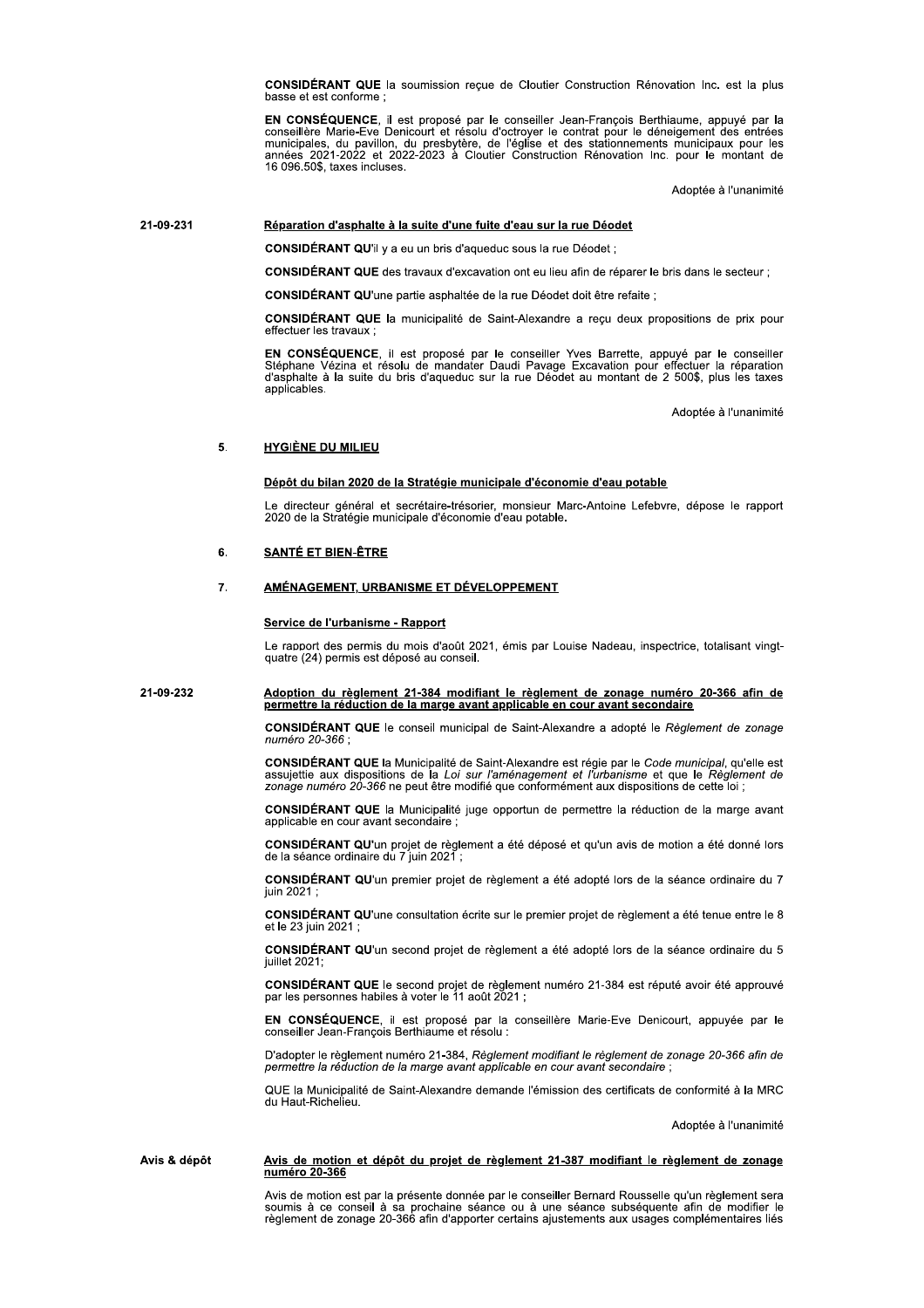**CONSIDÉRANT QUE** la soumission recue de Cloutier Construction Rénovation Inc. est la plus basse et est conforme;

EN CONSÉQUENCE, il est proposé par le conseiller Jean-François Berthiaume, appuyé par la conseillère Marie-Eve Denicourt et résolu d'octroyer le contrat pour le déneigement des entrées municipales, du pavillon, du presbytè

Adoptée à l'unanimité

#### 21-09-231 Réparation d'asphalte à la suite d'une fuite d'eau sur la rue Déodet

**CONSIDÉRANT QU'il y a eu un bris d'aqueduc sous la rue Déodet**;

CONSIDÉRANT QUE des travaux d'excavation ont eu lieu afin de réparer le bris dans le secteur ;

CONSIDÉRANT QU'une partie asphaltée de la rue Déodet doit être refaite ;

CONSIDÉRANT QUE la municipalité de Saint-Alexandre a recu deux propositions de prix pour effectuer les travaux

EN CONSÉQUENCE, il est proposé par le conseiller Yves Barrette, appuyé par le conseiller Stéphane Vézina et résolu de mandater Daudi Pavage Excavation pour effectuer la réparation d'asphalte à la suite du bris d'aqueduc sur la rue Déodet au montant de 2 500\$, plus les taxes applicables.

Adoptée à l'unanimité

#### 5. **HYGIÈNE DU MILIEU**

# Dépôt du bilan 2020 de la Stratégie municipale d'économie d'eau potable

Le directeur général et secrétaire-trésorier, monsieur Marc-Antoine Lefebvre, dépose le rapport 2020 de la Stratégie municipale d'économie d'eau potable.

### 6. **SANTÉ ET BIEN-ÊTRE**

### $\overline{7}$ . AMÉNAGEMENT, URBANISME ET DÉVELOPPEMENT

# Service de l'urbanisme - Rapport

Le rapport des permis du mois d'août 2021, émis par Louise Nadeau, inspectrice, totalisant vingtquatre (24) permis est déposé au conseil.

### 21-09-232 Adoption du règlement 21-384 modifiant le règlement de zonage numéro 20-366 afin de permettre la réduction de la marge avant applicable en cour avant secondaire

CONSIDÉRANT QUE le conseil municipal de Saint-Alexandre a adopté le Réglement de zonage numéro 20-366 :

CONSIDÉRANT QUE la Municipalité de Saint-Alexandre est régie par le Code municipal, qu'elle est Social de la Loi sur l'aménagement et l'urbanisme et que le Règlement de<br>zonage numéro 20-366 ne peut être modifié que conformément aux dispositions de cette loi ;

CONSIDÉRANT QUE la Municipalité juge opportun de permettre la réduction de la marge avant applicable en cour avant secondaire ;

CONSIDÉRANT QU'un projet de règlement a été déposé et qu'un avis de motion a été donné lors de la séance ordinaire du 7 juin 2021

CONSIDÉRANT QU'un premier projet de règlement a été adopté lors de la séance ordinaire du 7 iuin 2021

CONSIDÉRANT QU'une consultation écrite sur le premier projet de règlement a été tenue entre le 8 et le 23 juin 2021

CONSIDÉRANT QU'un second projet de règlement a été adopté lors de la séance ordinaire du 5 iuillet 2021:

CONSIDÉRANT QUE le second projet de règlement numéro 21-384 est réputé avoir été approuvé<br>par les personnes habiles à voter le 11 août 2021 ;

EN CONSÉQUENCE, il est proposé par la conseillère Marie-Eve Denicourt, appuyée par le conseiller Jean-François Berthiaume et résolu :

D'adopter le règlement numéro 21-384, Règlement modifiant le règlement de zonage 20-366 afin de permettre la réduction de la marge avant applicable en cour avant secondaire ;

QUE la Municipalité de Saint-Alexandre demande l'émission des certificats de conformité à la MRC du Haut-Richelieu.

Adoptée à l'unanimité

## Avis & dépôt Avis de motion et dépôt du projet de règlement 21-387 modifiant le règlement de zonage numéro 20-366

Avis de motion est par la présente donnée par le conseiller Bernard Rousselle qu'un règlement sera soumis à ce conseil à sa prochaine séance ou à une séance subséquente afin de modifier le<br>règlement de zonage 20-366 afin d'apporter certains ajustements aux usages complémentaires liés